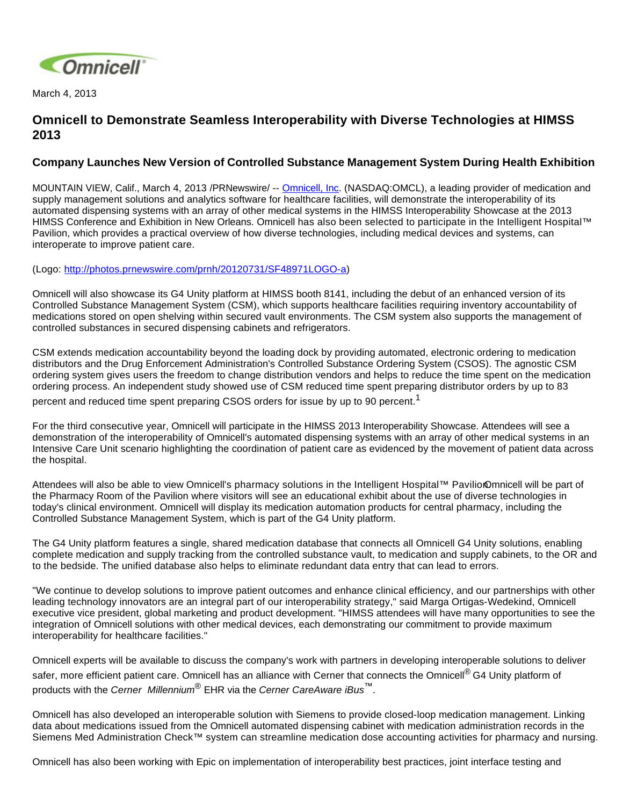

March 4, 2013

## **Omnicell to Demonstrate Seamless Interoperability with Diverse Technologies at HIMSS 2013**

## **Company Launches New Version of Controlled Substance Management System During Health Exhibition**

MOUNTAIN VIEW, Calif., March 4, 2013 /PRNewswire/ -- [Omnicell, Inc](http://www.omnicell.com/). (NASDAQ:OMCL), a leading provider of medication and supply management solutions and analytics software for healthcare facilities, will demonstrate the interoperability of its automated dispensing systems with an array of other medical systems in the HIMSS Interoperability Showcase at the 2013 HIMSS Conference and Exhibition in New Orleans. Omnicell has also been selected to participate in the Intelligent Hospital™ Pavilion, which provides a practical overview of how diverse technologies, including medical devices and systems, can interoperate to improve patient care.

(Logo: [http://photos.prnewswire.com/prnh/20120731/SF48971LOGO-a\)](http://photos.prnewswire.com/prnh/20120731/SF48971LOGO-a)

Omnicell will also showcase its G4 Unity platform at HIMSS booth 8141, including the debut of an enhanced version of its Controlled Substance Management System (CSM), which supports healthcare facilities requiring inventory accountability of medications stored on open shelving within secured vault environments. The CSM system also supports the management of controlled substances in secured dispensing cabinets and refrigerators.

CSM extends medication accountability beyond the loading dock by providing automated, electronic ordering to medication distributors and the Drug Enforcement Administration's Controlled Substance Ordering System (CSOS). The agnostic CSM ordering system gives users the freedom to change distribution vendors and helps to reduce the time spent on the medication ordering process. An independent study showed use of CSM reduced time spent preparing distributor orders by up to 83 percent and reduced time spent preparing CSOS orders for issue by up to 90 percent.<sup>1</sup>

For the third consecutive year, Omnicell will participate in the HIMSS 2013 Interoperability Showcase. Attendees will see a demonstration of the interoperability of Omnicell's automated dispensing systems with an array of other medical systems in an Intensive Care Unit scenario highlighting the coordination of patient care as evidenced by the movement of patient data across the hospital.

Attendees will also be able to view Omnicell's pharmacy solutions in the Intelligent Hospital™ PavilionOmnicell will be part of the Pharmacy Room of the Pavilion where visitors will see an educational exhibit about the use of diverse technologies in today's clinical environment. Omnicell will display its medication automation products for central pharmacy, including the Controlled Substance Management System, which is part of the G4 Unity platform.

The G4 Unity platform features a single, shared medication database that connects all Omnicell G4 Unity solutions, enabling complete medication and supply tracking from the controlled substance vault, to medication and supply cabinets, to the OR and to the bedside. The unified database also helps to eliminate redundant data entry that can lead to errors.

"We continue to develop solutions to improve patient outcomes and enhance clinical efficiency, and our partnerships with other leading technology innovators are an integral part of our interoperability strategy," said Marga Ortigas-Wedekind, Omnicell executive vice president, global marketing and product development. "HIMSS attendees will have many opportunities to see the integration of Omnicell solutions with other medical devices, each demonstrating our commitment to provide maximum interoperability for healthcare facilities."

Omnicell experts will be available to discuss the company's work with partners in developing interoperable solutions to deliver safer, more efficient patient care. Omnicell has an alliance with Cerner that connects the Omnicell<sup>®</sup> G4 Unity platform of products with the Cerner Millennium<sup>®</sup> EHR via the Cerner CareAware iBus<sup>™</sup>.

Omnicell has also developed an interoperable solution with Siemens to provide closed-loop medication management. Linking data about medications issued from the Omnicell automated dispensing cabinet with medication administration records in the Siemens Med Administration Check™ system can streamline medication dose accounting activities for pharmacy and nursing.

Omnicell has also been working with Epic on implementation of interoperability best practices, joint interface testing and